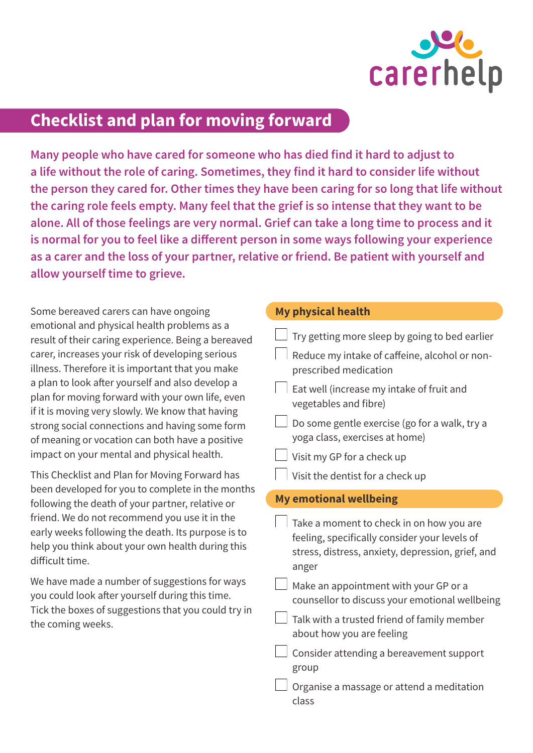

## **Checklist and plan for moving forward**

**Many people who have cared for someone who has died find it hard to adjust to a life without the role of caring. Sometimes, they find it hard to consider life without the person they cared for. Other times they have been caring for so long that life without the caring role feels empty. Many feel that the grief is so intense that they want to be alone. All of those feelings are very normal. Grief can take a long time to process and it is normal for you to feel like a diferent person in some ways following your experience as a carer and the loss of your partner, relative or friend. Be patient with yourself and allow yourself time to grieve.** 

Some bereaved carers can have ongoing emotional and physical health problems as a result of their caring experience. Being a bereaved carer, increases your risk of developing serious illness. Therefore it is important that you make a plan to look after yourself and also develop a plan for moving forward with your own life, even if it is moving very slowly. We know that having strong social connections and having some form of meaning or vocation can both have a positive impact on your mental and physical health.

This Checklist and Plan for Moving Forward has been developed for you to complete in the months following the death of your partner, relative or friend. We do not recommend you use it in the early weeks following the death. Its purpose is to help you think about your own health during this dificult time.

We have made a number of suggestions for ways you could look after yourself during this time. Tick the boxes of suggestions that you could try in the coming weeks.

## **My physical health**

|                               | Try getting more sleep by going to bed earlier                                                                                                          |  |
|-------------------------------|---------------------------------------------------------------------------------------------------------------------------------------------------------|--|
|                               | Reduce my intake of caffeine, alcohol or non-<br>prescribed medication                                                                                  |  |
|                               | Eat well (increase my intake of fruit and<br>vegetables and fibre)                                                                                      |  |
|                               | Do some gentle exercise (go for a walk, try a<br>yoga class, exercises at home)                                                                         |  |
|                               | Visit my GP for a check up                                                                                                                              |  |
|                               | Visit the dentist for a check up                                                                                                                        |  |
| <b>My emotional wellbeing</b> |                                                                                                                                                         |  |
|                               |                                                                                                                                                         |  |
|                               | Take a moment to check in on how you are<br>feeling, specifically consider your levels of<br>stress, distress, anxiety, depression, grief, and<br>anger |  |
|                               | Make an appointment with your GP or a<br>counsellor to discuss your emotional wellbeing                                                                 |  |
|                               | Talk with a trusted friend of family member<br>about how you are feeling                                                                                |  |
|                               | Consider attending a bereavement support<br>group                                                                                                       |  |